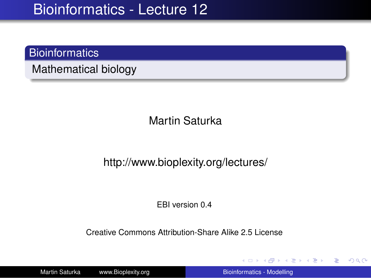### **Bioinformatics**

Mathematical biology

Martin Saturka

http://www.bioplexity.org/lectures/

EBI version 0.4

Creative Commons Attribution-Share Alike 2.5 License

Martin Saturka www.Bioplexity.org [Bioinformatics - Modelling](#page-31-0)

**K ロ ▶ K 何 ▶ K ヨ ▶ K ヨ ▶** 

<span id="page-0-0"></span>重。  $2990$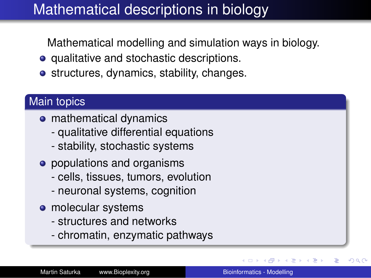# Mathematical descriptions in biology

Mathematical modelling and simulation ways in biology.

- qualitative and stochastic descriptions.
- **•** structures, dynamics, stability, changes.

### Main topics

- **o** mathematical dynamics
	- qualitative differential equations
	- stability, stochastic systems
- populations and organisms
	- cells, tissues, tumors, evolution
	- neuronal systems, cognition
- molecular systems
	- structures and networks
	- chromatin, enzymatic pathways

 $290$ 

∢ 重→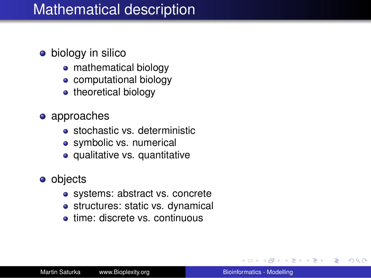### Mathematical description

- biology in silico
	- mathematical biology
	- computational biology
	- theoretical biology
- approaches
	- **stochastic vs. deterministic**
	- symbolic vs. numerical
	- qualitative vs. quantitative
- **o** objects
	- systems: abstract vs. concrete
	- structures: static vs. dynamical
	- **e** time: discrete vs. continuous

重き B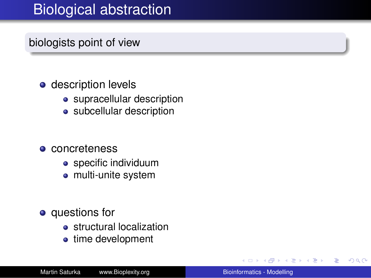# Biological abstraction

### biologists point of view

#### **o** description levels

- supracellular description
- subcellular description

#### **o** concreteness

- **•** specific individuum
- multi-unite system
- **•** questions for
	- **•** structural localization
	- time development

重き B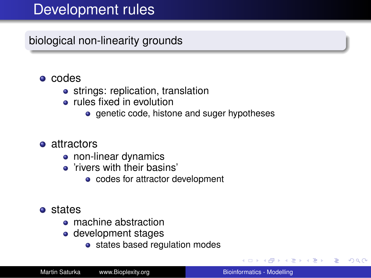## Development rules

biological non-linearity grounds

- **e** codes
	- strings: replication, translation
	- **•** rules fixed in evolution
		- genetic code, histone and suger hypotheses

#### **o** attractors

- non-linear dynamics
- 'rivers with their basins'
	- codes for attractor development
- **o** states
	- machine abstraction
	- development stages
		- states based regulation modes

す重きし ÷.  $QQ$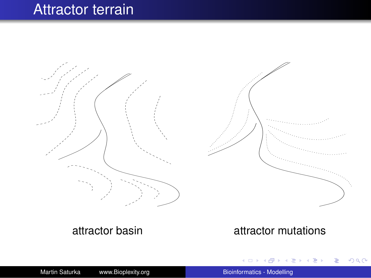### Attractor terrain

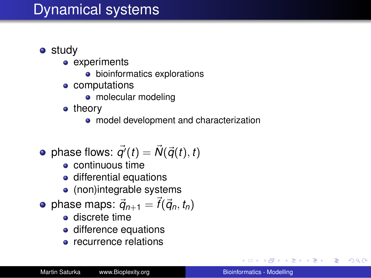## Dynamical systems

- **o** study
	- experiments
		- **•** bioinformatics explorations
	- computations
		- molecular modeling
	- theory
		- model development and characterization

• phase flows: 
$$
\vec{q'}(t) = \vec{N}(\vec{q}(t), t)
$$

- continuous time
- differential equations
- (non)integrable systems
- phase maps:  $\vec{q}_{n+1} = \vec{f}(\vec{q}_n, t_n)$ 
	- **e** discrete time
	- difference equations
	- **e** recurrence relations

イロト イ押 トイヨ トイヨ トー

÷.  $QQ$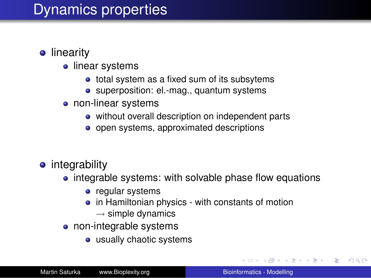# Dynamics properties

- **•** linearity
	- linear systems
		- total system as a fixed sum of its subsytems
		- superposition: el.-mag., quantum systems
	- non-linear systems
		- without overall description on independent parts
		- open systems, approximated descriptions
- integrability
	- integrable systems: with solvable phase flow equations
		- regular systems
		- in Hamiltonian physics with constants of motion
			- $\rightarrow$  simple dynamics
	- non-integrable systems
		- usually chaotic systems

**K ロ ▶ K 何 ▶ K ヨ ▶ K ヨ ▶** 

÷.  $QQ$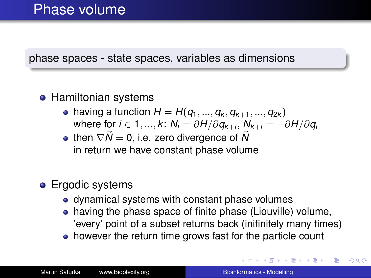#### phase spaces - state spaces, variables as dimensions

#### **• Hamiltonian systems**

- having a function  $H = H(q_1, ..., q_k, q_{k+1}, ..., q_{2k})$  $\mathsf{where} \ \mathsf{for} \ i \in 1,...,k \colon \mathsf{N}_i = \partial \mathsf{H} / \partial \mathsf{q}_{k+i}, \, \mathsf{N}_{k+i} = - \partial \mathsf{H} / \partial \mathsf{q}_i$
- then  $\nabla \vec{N} = 0$ , i.e. zero divergence of  $\vec{N}$ in return we have constant phase volume

### **•** Ergodic systems

- dynamical systems with constant phase volumes
- having the phase space of finite phase (Liouville) volume, 'every' point of a subset returns back (inifinitely many times)
- however the return time grows fast for the particle count

イロメ イ伊 メイヨメイヨメー

 $2Q$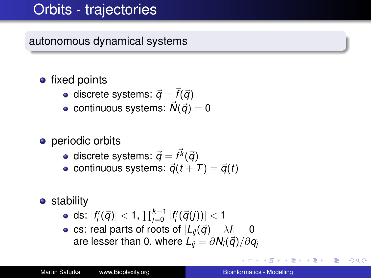# Orbits - trajectories

autonomous dynamical systems

- fixed points
	- discrete systems:  $\vec{q} = \vec{f}(\vec{q})$
	- continuous systems:  $\vec{N}(\vec{q}) = 0$
- **•** periodic orbits
	- discrete systems:  $\vec{q} = \vec{f^k}(\vec{q})$
	- continuous systems:  $\vec{q}(t + T) = \vec{q}(t)$
- **•** stability
	- ds:  $|f_{i}'(\vec{q})| < 1, \prod_{j=0}^{k-1} |f_{i}'(\vec{q}(j))| < 1$
	- cs: real parts of roots of  $|L_{ii}(\vec{q}) \lambda I| = 0$ are lesser than 0, where  $L_{ii} = \partial N_i(\vec{q})/\partial q_i$

B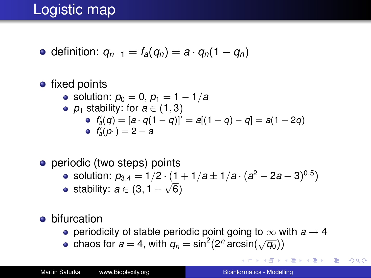# Logistic map

 $\bullet$  definition:  $q_{n+1} = f_a(q_n) = a \cdot q_n(1 - q_n)$ 

#### • fixed points • solution:  $p_0 = 0$ ,  $p_1 = 1 - 1/a$ •  $p_1$  stability: for  $a \in (1, 3)$  $f'_{a}(q) = [a \cdot q(1 - q)]' = a[(1 - q) - q] = a(1 - 2q)$  $f'_a(p_1) = 2 - a$

- periodic (two steps) points
	- solution:  $p_{3,4} = 1/2 \cdot (1 + 1/a \pm 1/a \cdot (a^2 2a 3)^{0.5})$
	- stability:  $a \in (3, 1 + \sqrt{6})$
- bifurcation
	- periodicity of stable periodic point going to  $\infty$  with  $a \rightarrow 4$
	- chaos for  $a = 4$ , with  $q_n = \sin^2(2^n \arcsin(\sqrt{q_0}))$

イロト イ押 トイヨ トイヨ トーヨー

 $2990$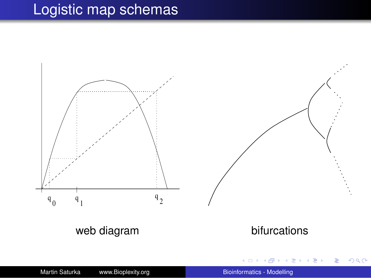# Logistic map schemas

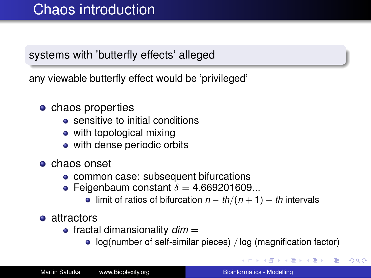### systems with 'butterfly effects' alleged

any viewable butterfly effect would be 'privileged'

- **o** chaos properties
	- **•** sensitive to initial conditions
	- with topological mixing
	- with dense periodic orbits
- **•** chaos onset
	- common case: subsequent bifurcations
	- Feigenbaum constant  $\delta = 4.669201609...$ 
		- limit of ratios of bifurcation *n* − *th*/(*n* + 1) − *th* intervals
- **•** attractors
	- $\bullet$  fractal dimansionality  $dim =$ 
		- log(number of self-similar pieces) / log (magnification factor)

イロト イ伊 トイヨ トイヨ トー

 $\Rightarrow$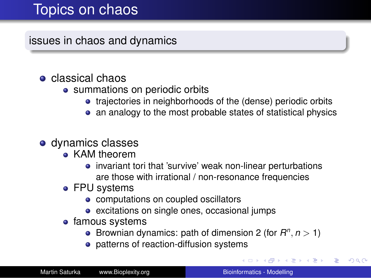## Topics on chaos

issues in chaos and dynamics

### classical chaos

- summations on periodic orbits
	- **•** trajectories in neighborhoods of the (dense) periodic orbits
	- an analogy to the most probable states of statistical physics

#### dynamics classes

- KAM theorem
	- **•** invariant tori that 'survive' weak non-linear perturbations are those with irrational / non-resonance frequencies
- FPU systems
	- computations on coupled oscillators
	- excitations on single ones, occasional jumps
- famous systems
	- Brownian dynamics: path of dimension 2 (for  $R^n$ ,  $n > 1$ )
	- patterns of reaction-diffusion systems

イロト イ団ト イヨト イヨト

B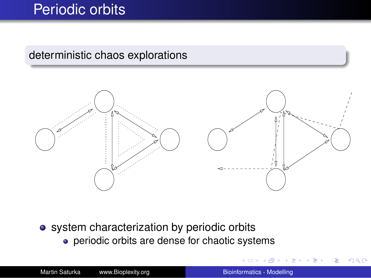## Periodic orbits

#### deterministic chaos explorations



• system characterization by periodic orbits

• periodic orbits are dense for chaotic systems

 $290$ 

ă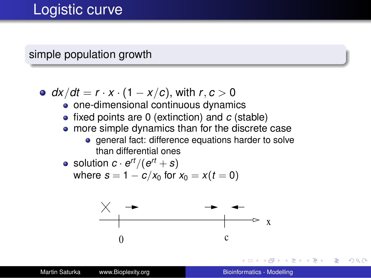### simple population growth

• 
$$
dx/dt = r \cdot x \cdot (1 - x/c)
$$
, with  $r, c > 0$ 

- one-dimensional continuous dynamics
- fixed points are 0 (extinction) and *c* (stable)
- more simple dynamics than for the discrete case
	- **e** general fact: difference equations harder to solve than differential ones

• solution 
$$
c \cdot e^{rt}/(e^{rt} + s)
$$
  
where  $s = 1 - c/x_0$  for  $x_0 = x(t = 0)$ 



**K ロ ト K 伊 ト K ヨ ト** 

不重きし

B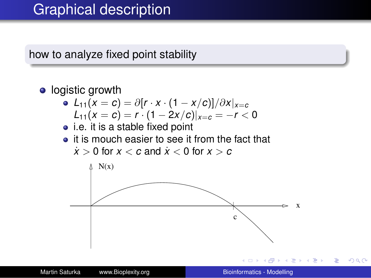### Graphical description

how to analyze fixed point stability



 $2Q$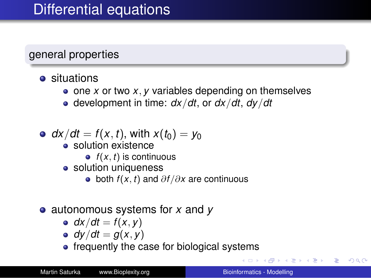general properties

- **•** situations
	- one *x* or two *x*, *y* variables depending on themselves
	- development in time: *dx*/*dt*, or *dx*/*dt*, *dy*/*dt*
- $dx/dt = f(x, t)$ , with  $x(t_0) = y_0$ 
	- solution existence
		- $\bullet$   $f(x, t)$  is continuous
	- solution uniqueness
		- both *f* (*x*, *t*) and ∂*f* /∂*x* are continuous
- autonomous systems for *x* and *y*
	- $dx/dt = f(x, y)$
	- $dy/dt = g(x, y)$
	- frequently the case for biological systems

 $\Box \rightarrow \neg (\Box \rightarrow \neg (\Box \rightarrow \neg (\Box \rightarrow \neg \Box \rightarrow \neg \Box \rightarrow \neg \Box \rightarrow \neg \Box \rightarrow \neg \Box \rightarrow \neg \Box \rightarrow \neg \Box \rightarrow \neg \Box \rightarrow \neg \Box \rightarrow \neg \Box \rightarrow \neg \Box \rightarrow \neg \Box \rightarrow \neg \Box \rightarrow \neg \Box$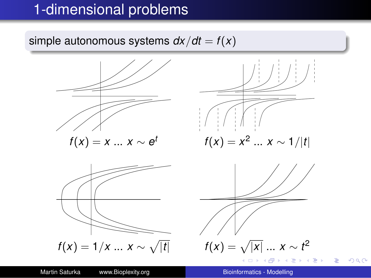## 1-dimensional problems

simple autonomous systems  $dx/dt = f(x)$ 



 $\equiv$ 

 $2990$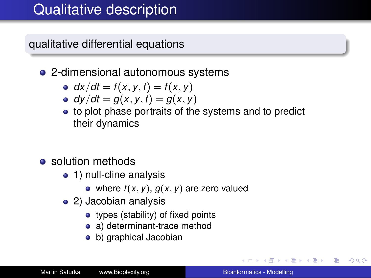# Qualitative description

qualitative differential equations

- 2-dimensional autonomous systems
	- $dx/dt = f(x, y, t) = f(x, y)$
	- $dy/dt = g(x, y, t) = g(x, y)$
	- to plot phase portraits of the systems and to predict their dynamics
- solution methods
	- 1) null-cline analysis
		- where  $f(x, y)$ ,  $g(x, y)$  are zero valued
	- 2) Jacobian analysis
		- types (stability) of fixed points
		- a) determinant-trace method
		- b) graphical Jacobian

イロト イ押 トイヨ トイヨト

B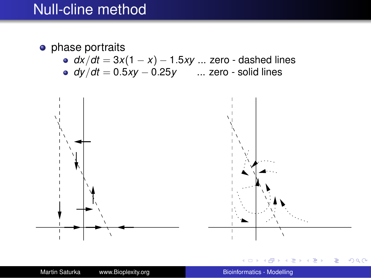### Null-cline method

#### • phase portraits

- *dx*/*dt* = 3*x*(1 − *x*) − 1.5*xy* ... zero dashed lines
- *dy*/*dt* = 0.5*xy* − 0.25*y* ... zero solid lines

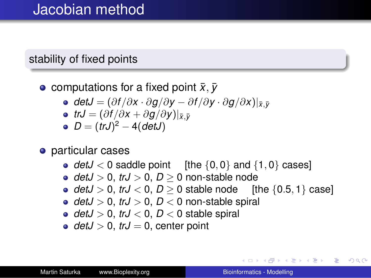### stability of fixed points

- **c** computations for a fixed point  $\bar{x}, \bar{y}$ 
	- $\boldsymbol{\phi}$  *detJ* =  $(\partial f/\partial x \cdot \partial g/\partial y \partial f/\partial y \cdot \partial g/\partial x)|_{\bar{x},\bar{y}}$
	- $\bullet$  *trJ* =  $(\partial f/\partial x + \partial g/\partial y)|_{\bar{x},\bar{y}}$
	- *D* = (*trJ*) <sup>2</sup> − 4(*detJ*)
- **o** particular cases
	- $detJ < 0$  saddle point [the  $\{0, 0\}$  and  $\{1, 0\}$  cases]
	- $detJ > 0$ ,  $trJ > 0$ ,  $D > 0$  non-stable node
	- $detJ > 0$ ,  $trJ < 0$ ,  $D > 0$  stable node [the  ${0.5, 1}$  case]
	- $detJ > 0$ ,  $trJ > 0$ ,  $D < 0$  non-stable spiral
	- $detJ > 0$ ,  $trJ < 0$ ,  $D < 0$  stable spiral
	- $detJ > 0$ ,  $trJ = 0$ , center point

イロン イ何 メイヨン イヨン 一ヨー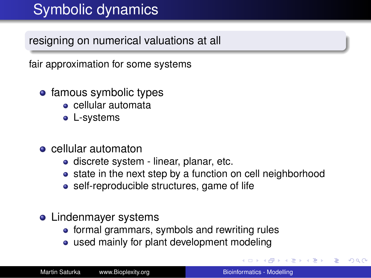# Symbolic dynamics

resigning on numerical valuations at all

fair approximation for some systems

- famous symbolic types
	- cellular automata
	- L-systems
- **e** cellular automaton
	- **o** discrete system linear, planar, etc.
	- state in the next step by a function on cell neighborhood
	- self-reproducible structures, game of life
- Lindenmayer systems
	- formal grammars, symbols and rewriting rules
	- used mainly for plant development modeling

G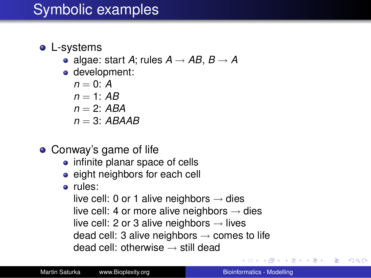### • L-systems

- algae: start *A*; rules  $A \rightarrow AB$ ,  $B \rightarrow A$
- development:

 $n = 0$ : *A*  $n = 1$  *AB*  $n = 2$  *ABA*  $n = 3$ **·** *ARAAR* 

- Conway's game of life
	- infinite planar space of cells
	- eight neighbors for each cell
	- rules:

live cell: 0 or 1 alive neighbors  $\rightarrow$  dies live cell: 4 or more alive neighbors  $\rightarrow$  dies live cell: 2 or 3 alive neighbors  $\rightarrow$  lives dead cell: 3 alive neighbors  $\rightarrow$  comes to life dead cell: otherwise  $\rightarrow$  still dead

ぼう メラメー

÷.

 $2Q$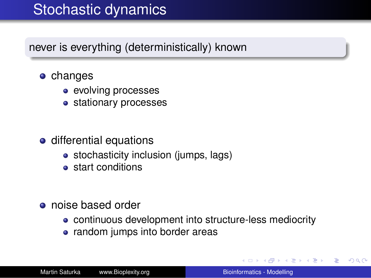## Stochastic dynamics

never is everything (deterministically) known

- **o** changes
	- evolving processes
	- stationary processes
- **o** differential equations
	- stochasticity inclusion (jumps, lags)
	- **•** start conditions
- **o** noise based order
	- continuous development into structure-less mediocrity
	- random jumps into border areas

←ロト ←何ト ←ミト

す重きし

B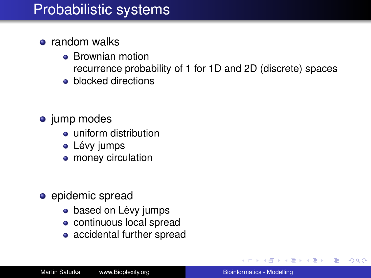### Probabilistic systems

- **•** random walks
	- **Brownian motion** recurrence probability of 1 for 1D and 2D (discrete) spaces
	- **•** blocked directions
- jump modes
	- uniform distribution
	- Lévy jumps
	- money circulation
- epidemic spread
	- based on Lévy jumps
	- continuous local spread
	- accidental further spread

す重き。 B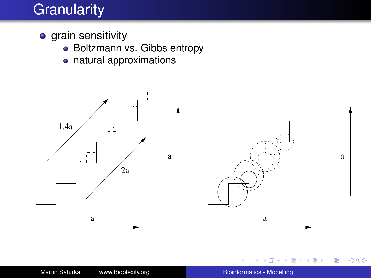# **Granularity**

- **•** grain sensitivity
	- Boltzmann vs. Gibbs entropy
	- natural approximations



一句 × € **B** 

4 0 8

④重き  $\equiv$   $2990$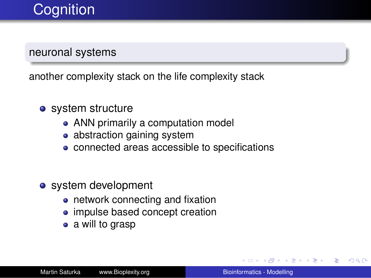# **Cognition**

#### neuronal systems

another complexity stack on the life complexity stack

- system structure
	- ANN primarily a computation model
	- abstraction gaining system
	- connected areas accessible to specifications
- system development
	- network connecting and fixation
	- impulse based concept creation
	- a will to grasp

す重き。 B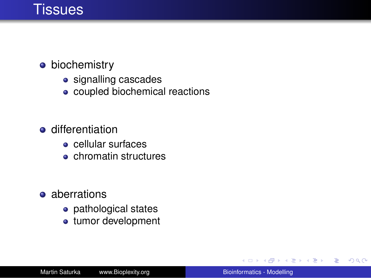### **Tissues**

- **•** biochemistry
	- signalling cascades
	- coupled biochemical reactions
- **o** differentiation
	- cellular surfaces
	- chromatin structures
- aberrations
	- pathological states
	- tumor development

4 € 1 一 4 - 三  $\mathbf{p}_\mathrm{c}$  4 重っ

÷.  $QQ$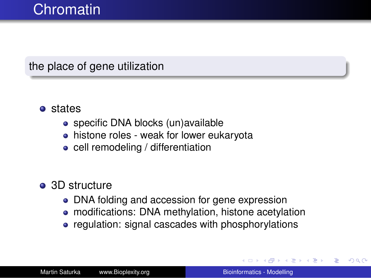### the place of gene utilization

- states
	- specific DNA blocks (un)available
	- histone roles weak for lower eukaryota
	- cell remodeling / differentiation
- 3D structure
	- DNA folding and accession for gene expression
	- modifications: DNA methylation, histone acetylation
	- regulation: signal cascades with phosphorylations

 $\leftarrow$   $\Box$ 

 $2Q$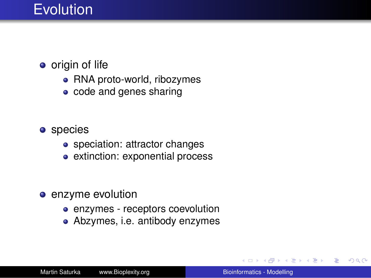## **Evolution**

### • origin of life

- RNA proto-world, ribozymes
- code and genes sharing

#### **o** species

- speciation: attractor changes
- extinction: exponential process
- enzyme evolution
	- enzymes receptors coevolution
	- Abzymes, i.e. antibody enzymes

重き ă.  $QQ$